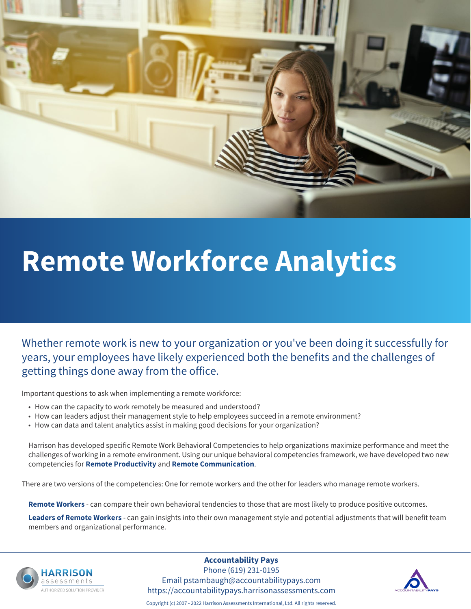

# **Remote Workforce Analytics**

Whether remote work is new to your organization or you've been doing it successfully for years, your employees have likely experienced both the benefits and the challenges of getting things done away from the office.

Important questions to ask when implementing a remote workforce:

- How can the capacity to work remotely be measured and understood?
- How can leaders adjust their management style to help employees succeed in a remote environment?
- How can data and talent analytics assist in making good decisions for your organization?

Harrison has developed specific Remote Work Behavioral Competencies to help organizations maximize performance and meet the challenges of working in a remote environment. Using our unique behavioral competencies framework, we have developed two new competencies for **Remote Productivity** and **Remote Communication**.

There are two versions of the competencies: One for remote workers and the other for leaders who manage remote workers.

**Remote Workers** - can compare their own behavioral tendencies to those that are most likely to produce positive outcomes.

**Leaders of Remote Workers** - can gain insights into their own management style and potential adjustments that will benefit team members and organizational performance.



#### **Accountability Pays**

Phone (619) 231-0195 Email pstambaugh@accountabilitypays.com https://accountabilitypays.harrisonassessments.com